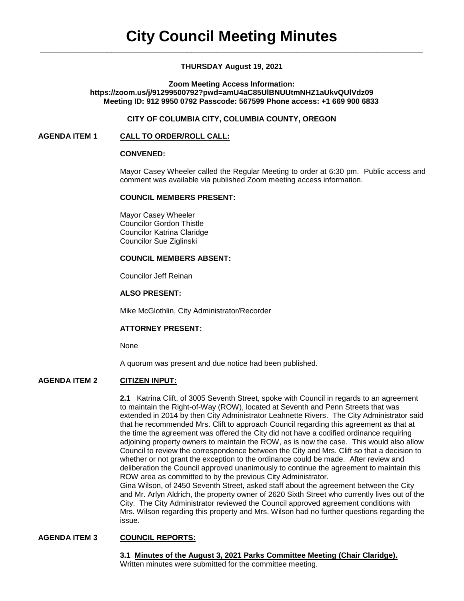# **THURSDAY August 19, 2021**

### **Zoom Meeting Access Information: https://zoom.us/j/91299500792?pwd=amU4aC85UlBNUUtmNHZ1aUkvQUlVdz09 Meeting ID: 912 9950 0792 Passcode: 567599 Phone access: +1 669 900 6833**

### **CITY OF COLUMBIA CITY, COLUMBIA COUNTY, OREGON**

### **AGENDA ITEM 1 CALL TO ORDER/ROLL CALL:**

#### **CONVENED:**

Mayor Casey Wheeler called the Regular Meeting to order at 6:30 pm. Public access and comment was available via published Zoom meeting access information.

#### **COUNCIL MEMBERS PRESENT:**

Mayor Casey Wheeler Councilor Gordon Thistle Councilor Katrina Claridge Councilor Sue Ziglinski

# **COUNCIL MEMBERS ABSENT:**

Councilor Jeff Reinan

#### **ALSO PRESENT:**

Mike McGlothlin, City Administrator/Recorder

### **ATTORNEY PRESENT:**

None

A quorum was present and due notice had been published.

### **AGENDA ITEM 2 CITIZEN INPUT:**

**2.1** Katrina Clift, of 3005 Seventh Street, spoke with Council in regards to an agreement to maintain the Right-of-Way (ROW), located at Seventh and Penn Streets that was extended in 2014 by then City Administrator Leahnette Rivers. The City Administrator said that he recommended Mrs. Clift to approach Council regarding this agreement as that at the time the agreement was offered the City did not have a codified ordinance requiring adjoining property owners to maintain the ROW, as is now the case. This would also allow Council to review the correspondence between the City and Mrs. Clift so that a decision to whether or not grant the exception to the ordinance could be made. After review and deliberation the Council approved unanimously to continue the agreement to maintain this ROW area as committed to by the previous City Administrator. Gina Wilson, of 2450 Seventh Street, asked staff about the agreement between the City and Mr. Arlyn Aldrich, the property owner of 2620 Sixth Street who currently lives out of the

City. The City Administrator reviewed the Council approved agreement conditions with Mrs. Wilson regarding this property and Mrs. Wilson had no further questions regarding the issue.

# **AGENDA ITEM 3 COUNCIL REPORTS:**

**3.1 Minutes of the August 3, 2021 Parks Committee Meeting (Chair Claridge).** Written minutes were submitted for the committee meeting.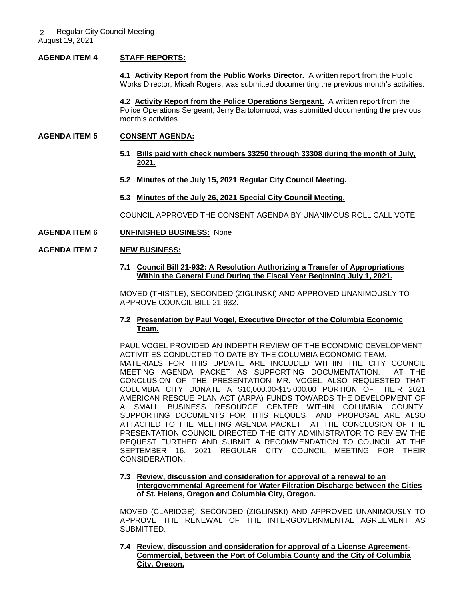## **AGENDA ITEM 4 STAFF REPORTS:**

**4.1 Activity Report from the Public Works Director.** A written report from the Public Works Director, Micah Rogers, was submitted documenting the previous month's activities.

**4.2 Activity Report from the Police Operations Sergeant.** A written report from the Police Operations Sergeant, Jerry Bartolomucci, was submitted documenting the previous month's activities.

## **AGENDA ITEM 5 CONSENT AGENDA:**

- **5.1 Bills paid with check numbers 33250 through 33308 during the month of July, 2021.**
- **5.2 Minutes of the July 15, 2021 Regular City Council Meeting.**
- **5.3 Minutes of the July 26, 2021 Special City Council Meeting.**

COUNCIL APPROVED THE CONSENT AGENDA BY UNANIMOUS ROLL CALL VOTE.

**AGENDA ITEM 6 UNFINISHED BUSINESS:** None

## **AGENDA ITEM 7 NEW BUSINESS:**

**7.1 Council Bill 21-932: A Resolution Authorizing a Transfer of Appropriations Within the General Fund During the Fiscal Year Beginning July 1, 2021.** 

MOVED (THISTLE), SECONDED (ZIGLINSKI) AND APPROVED UNANIMOUSLY TO APPROVE COUNCIL BILL 21-932.

### **7.2 Presentation by Paul Vogel, Executive Director of the Columbia Economic Team.**

PAUL VOGEL PROVIDED AN INDEPTH REVIEW OF THE ECONOMIC DEVELOPMENT ACTIVITIES CONDUCTED TO DATE BY THE COLUMBIA ECONOMIC TEAM. MATERIALS FOR THIS UPDATE ARE INCLUDED WITHIN THE CITY COUNCIL MEETING AGENDA PACKET AS SUPPORTING DOCUMENTATION. AT THE CONCLUSION OF THE PRESENTATION MR. VOGEL ALSO REQUESTED THAT COLUMBIA CITY DONATE A \$10,000.00-\$15,000.00 PORTION OF THEIR 2021 AMERICAN RESCUE PLAN ACT (ARPA) FUNDS TOWARDS THE DEVELOPMENT OF A SMALL BUSINESS RESOURCE CENTER WITHIN COLUMBIA COUNTY. SUPPORTING DOCUMENTS FOR THIS REQUEST AND PROPOSAL ARE ALSO ATTACHED TO THE MEETING AGENDA PACKET. AT THE CONCLUSION OF THE PRESENTATION COUNCIL DIRECTED THE CITY ADMINISTRATOR TO REVIEW THE REQUEST FURTHER AND SUBMIT A RECOMMENDATION TO COUNCIL AT THE SEPTEMBER 16, 2021 REGULAR CITY COUNCIL MEETING FOR THEIR CONSIDERATION.

### **7.3 Review, discussion and consideration for approval of a renewal to an Intergovernmental Agreement for Water Filtration Discharge between the Cities of St. Helens, Oregon and Columbia City, Oregon.**

MOVED (CLARIDGE), SECONDED (ZIGLINSKI) AND APPROVED UNANIMOUSLY TO APPROVE THE RENEWAL OF THE INTERGOVERNMENTAL AGREEMENT AS SUBMITTED.

**7.4 Review, discussion and consideration for approval of a License Agreement- Commercial, between the Port of Columbia County and the City of Columbia City, Oregon.**